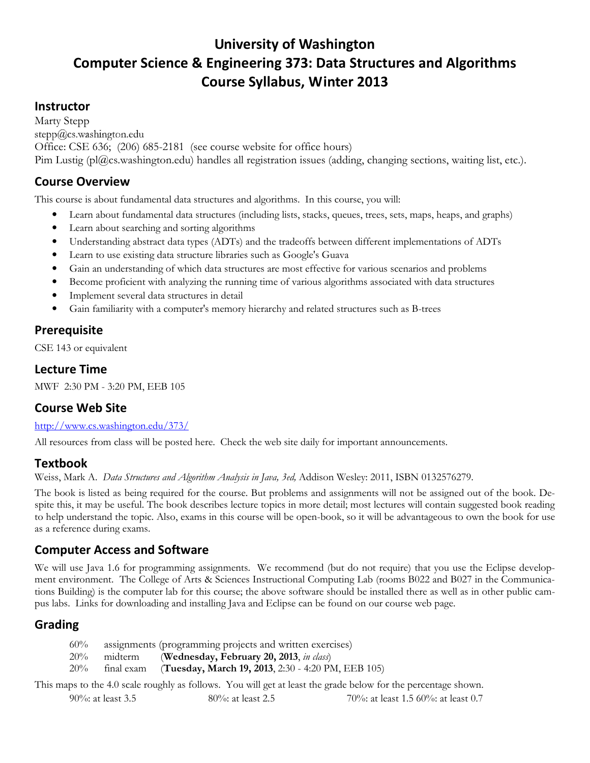# University of Washington Computer Science & Engineering 373: Data Structures and Algorithms Course Syllabus, Winter 2013

### **Instructor**

Marty Stepp stepp@cs.washington.edu Office: CSE 636; (206) 685-2181 (see course website for office hours) Pim Lustig (pl@cs.washington.edu) handles all registration issues (adding, changing sections, waiting list, etc.).

# Course Overview

This course is about fundamental data structures and algorithms. In this course, you will:

- Learn about fundamental data structures (including lists, stacks, queues, trees, sets, maps, heaps, and graphs)
- Learn about searching and sorting algorithms
- Understanding abstract data types (ADTs) and the tradeoffs between different implementations of ADTs
- Learn to use existing data structure libraries such as Google's Guava
- Gain an understanding of which data structures are most effective for various scenarios and problems
- Become proficient with analyzing the running time of various algorithms associated with data structures
- Implement several data structures in detail
- Gain familiarity with a computer's memory hierarchy and related structures such as B-trees

### Prerequisite

CSE 143 or equivalent

#### Lecture Time

MWF 2:30 PM - 3:20 PM, EEB 105

### Course Web Site

#### http://www.cs.washington.edu/373/

All resources from class will be posted here. Check the web site daily for important announcements.

### Textbook

Weiss, Mark A. Data Structures and Algorithm Analysis in Java, 3ed, Addison Wesley: 2011, ISBN 0132576279.

The book is listed as being required for the course. But problems and assignments will not be assigned out of the book. Despite this, it may be useful. The book describes lecture topics in more detail; most lectures will contain suggested book reading to help understand the topic. Also, exams in this course will be open-book, so it will be advantageous to own the book for use as a reference during exams.

### Computer Access and Software

We will use Java 1.6 for programming assignments. We recommend (but do not require) that you use the Eclipse development environment. The College of Arts & Sciences Instructional Computing Lab (rooms B022 and B027 in the Communications Building) is the computer lab for this course; the above software should be installed there as well as in other public campus labs. Links for downloading and installing Java and Eclipse can be found on our course web page.

# Grading

| 60% |                | assignments (programming projects and written exercises) |
|-----|----------------|----------------------------------------------------------|
|     | $20\%$ midterm | (Wednesday, February 20, 2013, in class)                 |
| 20% | final exam     | (Tuesday, March 19, 2013, 2:30 - 4:20 PM, EEB 105)       |

This maps to the 4.0 scale roughly as follows. You will get at least the grade below for the percentage shown.